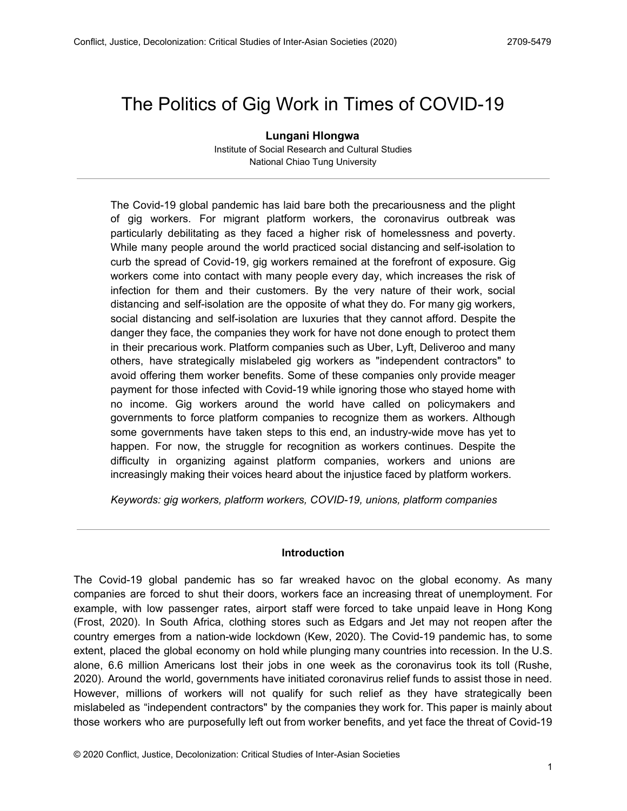# The Politics of Gig Work in Times of COVID-19

**Lungani Hlongwa** Institute of Social Research and Cultural Studies National Chiao Tung University

The Covid-19 global pandemic has laid bare both the precariousness and the plight of gig workers. For migrant platform workers, the coronavirus outbreak was particularly debilitating as they faced a higher risk of homelessness and poverty. While many people around the world practiced social distancing and self-isolation to curb the spread of Covid-19, gig workers remained at the forefront of exposure. Gig workers come into contact with many people every day, which increases the risk of infection for them and their customers. By the very nature of their work, social distancing and self-isolation are the opposite of what they do. For many gig workers, social distancing and self-isolation are luxuries that they cannot afford. Despite the danger they face, the companies they work for have not done enough to protect them in their precarious work. Platform companies such as Uber, Lyft, Deliveroo and many others, have strategically mislabeled gig workers as "independent contractors" to avoid offering them worker benefits. Some of these companies only provide meager payment for those infected with Covid-19 while ignoring those who stayed home with no income. Gig workers around the world have called on policymakers and governments to force platform companies to recognize them as workers. Although some governments have taken steps to this end, an industry-wide move has yet to happen. For now, the struggle for recognition as workers continues. Despite the difficulty in organizing against platform companies, workers and unions are increasingly making their voices heard about the injustice faced by platform workers.

*Keywords: gig workers, platform workers, COVID-19, unions, platform companies*

#### **Introduction**

The Covid-19 global pandemic has so far wreaked havoc on the global economy. As many companies are forced to shut their doors, workers face an increasing threat of unemployment. For example, with low passenger rates, airport staff were forced to take unpaid leave in Hong Kong (Frost, 2020). In South Africa, clothing stores such as Edgars and Jet may not reopen after the country emerges from a nation-wide lockdown (Kew, 2020). The Covid-19 pandemic has, to some extent, placed the global economy on hold while plunging many countries into recession. In the U.S. alone, 6.6 million Americans lost their jobs in one week as the coronavirus took its toll (Rushe, 2020). Around the world, governments have initiated coronavirus relief funds to assist those in need. However, millions of workers will not qualify for such relief as they have strategically been mislabeled as "independent contractors" by the companies they work for. This paper is mainly about those workers who are purposefully left out from worker benefits, and yet face the threat of Covid-19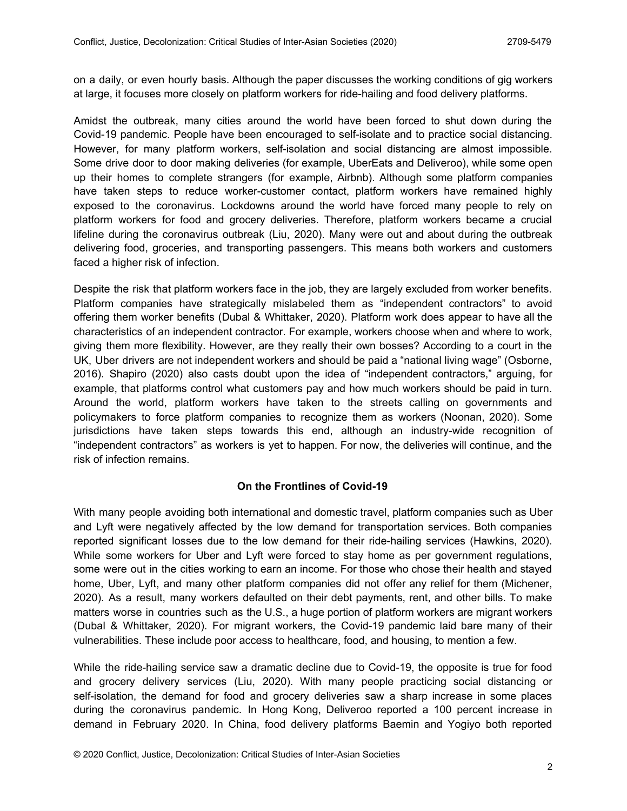on a daily, or even hourly basis. Although the paper discusses the working conditions of gig workers at large, it focuses more closely on platform workers for ride-hailing and food delivery platforms.

Amidst the outbreak, many cities around the world have been forced to shut down during the Covid-19 pandemic. People have been encouraged to self-isolate and to practice social distancing. However, for many platform workers, self-isolation and social distancing are almost impossible. Some drive door to door making deliveries (for example, UberEats and Deliveroo), while some open up their homes to complete strangers (for example, Airbnb). Although some platform companies have taken steps to reduce worker-customer contact, platform workers have remained highly exposed to the coronavirus. Lockdowns around the world have forced many people to rely on platform workers for food and grocery deliveries. Therefore, platform workers became a crucial lifeline during the coronavirus outbreak (Liu, 2020). Many were out and about during the outbreak delivering food, groceries, and transporting passengers. This means both workers and customers faced a higher risk of infection.

Despite the risk that platform workers face in the job, they are largely excluded from worker benefits. Platform companies have strategically mislabeled them as "independent contractors" to avoid offering them worker benefits (Dubal & Whittaker, 2020). Platform work does appear to have all the characteristics of an independent contractor. For example, workers choose when and where to work, giving them more flexibility. However, are they really their own bosses? According to a court in the UK, Uber drivers are not independent workers and should be paid a "national living wage" (Osborne, 2016). Shapiro (2020) also casts doubt upon the idea of "independent contractors," arguing, for example, that platforms control what customers pay and how much workers should be paid in turn. Around the world, platform workers have taken to the streets calling on governments and policymakers to force platform companies to recognize them as workers (Noonan, 2020). Some jurisdictions have taken steps towards this end, although an industry-wide recognition of "independent contractors" as workers is yet to happen. For now, the deliveries will continue, and the risk of infection remains.

## **On the Frontlines of Covid-19**

With many people avoiding both international and domestic travel, platform companies such as Uber and Lyft were negatively affected by the low demand for transportation services. Both companies reported significant losses due to the low demand for their ride-hailing services (Hawkins, 2020). While some workers for Uber and Lyft were forced to stay home as per government regulations, some were out in the cities working to earn an income. For those who chose their health and stayed home, Uber, Lyft, and many other platform companies did not offer any relief for them (Michener, 2020). As a result, many workers defaulted on their debt payments, rent, and other bills. To make matters worse in countries such as the U.S., a huge portion of platform workers are migrant workers (Dubal & Whittaker, 2020). For migrant workers, the Covid-19 pandemic laid bare many of their vulnerabilities. These include poor access to healthcare, food, and housing, to mention a few.

While the ride-hailing service saw a dramatic decline due to Covid-19, the opposite is true for food and grocery delivery services (Liu, 2020). With many people practicing social distancing or self-isolation, the demand for food and grocery deliveries saw a sharp increase in some places during the coronavirus pandemic. In Hong Kong, Deliveroo reported a 100 percent increase in demand in February 2020. In China, food delivery platforms Baemin and Yogiyo both reported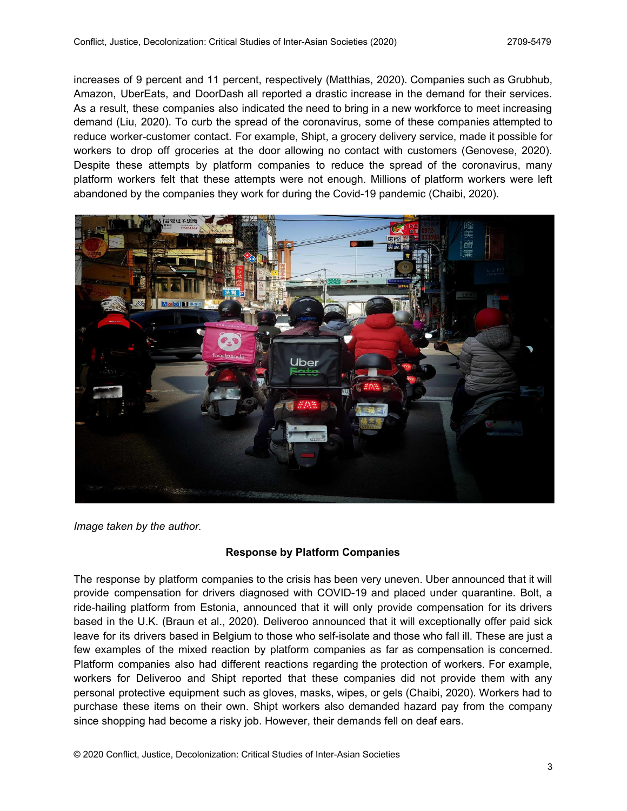increases of 9 percent and 11 percent, respectively (Matthias, 2020). Companies such as Grubhub, Amazon, UberEats, and DoorDash all reported a drastic increase in the demand for their services. As a result, these companies also indicated the need to bring in a new workforce to meet increasing demand (Liu, 2020). To curb the spread of the coronavirus, some of these companies attempted to reduce worker-customer contact. For example, Shipt, a grocery delivery service, made it possible for workers to drop off groceries at the door allowing no contact with customers (Genovese, 2020). Despite these attempts by platform companies to reduce the spread of the coronavirus, many platform workers felt that these attempts were not enough. Millions of platform workers were left abandoned by the companies they work for during the Covid-19 pandemic (Chaibi, 2020).



*Image taken by the author.*

## **Response by Platform Companies**

The response by platform companies to the crisis has been very uneven. Uber announced that it will provide compensation for drivers diagnosed with COVID-19 and placed under quarantine. Bolt, a ride-hailing platform from Estonia, announced that it will only provide compensation for its drivers based in the U.K. (Braun et al., 2020). Deliveroo announced that it will exceptionally offer paid sick leave for its drivers based in Belgium to those who self-isolate and those who fall ill. These are just a few examples of the mixed reaction by platform companies as far as compensation is concerned. Platform companies also had different reactions regarding the protection of workers. For example, workers for Deliveroo and Shipt reported that these companies did not provide them with any personal protective equipment such as gloves, masks, wipes, or gels (Chaibi, 2020). Workers had to purchase these items on their own. Shipt workers also demanded hazard pay from the company since shopping had become a risky job. However, their demands fell on deaf ears.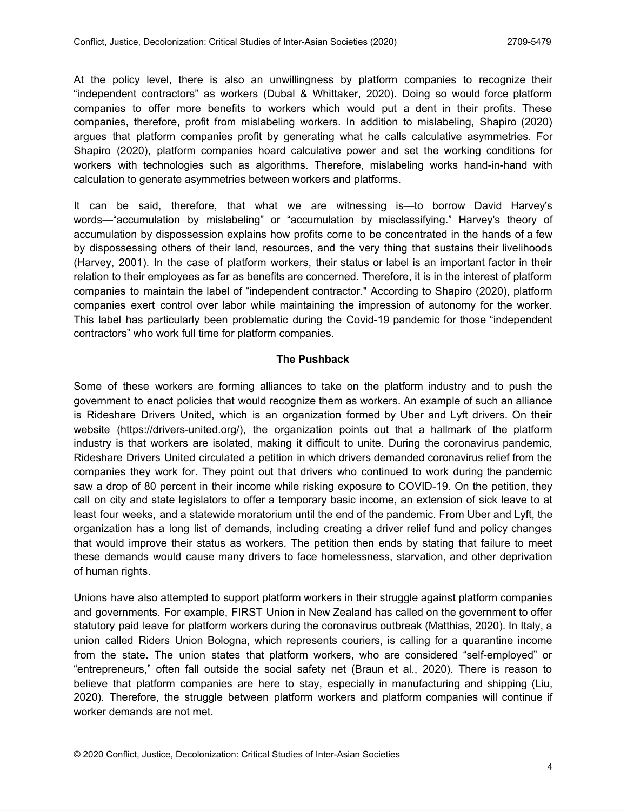At the policy level, there is also an unwillingness by platform companies to recognize their "independent contractors" as workers (Dubal & Whittaker, 2020). Doing so would force platform companies to offer more benefits to workers which would put a dent in their profits. These companies, therefore, profit from mislabeling workers. In addition to mislabeling, Shapiro (2020) argues that platform companies profit by generating what he calls calculative asymmetries. For Shapiro (2020), platform companies hoard calculative power and set the working conditions for workers with technologies such as algorithms. Therefore, mislabeling works hand-in-hand with calculation to generate asymmetries between workers and platforms.

It can be said, therefore, that what we are witnessing is—to borrow David Harvey's words—"accumulation by mislabeling" or "accumulation by misclassifying." Harvey's theory of accumulation by dispossession explains how profits come to be concentrated in the hands of a few by dispossessing others of their land, resources, and the very thing that sustains their livelihoods (Harvey, 2001). In the case of platform workers, their status or label is an important factor in their relation to their employees as far as benefits are concerned. Therefore, it is in the interest of platform companies to maintain the label of "independent contractor." According to Shapiro (2020), platform companies exert control over labor while maintaining the impression of autonomy for the worker. This label has particularly been problematic during the Covid-19 pandemic for those "independent contractors" who work full time for platform companies.

## **The Pushback**

Some of these workers are forming alliances to take on the platform industry and to push the government to enact policies that would recognize them as workers. An example of such an alliance is Rideshare Drivers United, which is an organization formed by Uber and Lyft drivers. On their website (https://drivers-united.org/), the organization points out that a hallmark of the platform industry is that workers are isolated, making it difficult to unite. During the coronavirus pandemic, Rideshare Drivers United circulated a petition in which drivers demanded coronavirus relief from the companies they work for. They point out that drivers who continued to work during the pandemic saw a drop of 80 percent in their income while risking exposure to COVID-19. On the petition, they call on city and state legislators to offer a temporary basic income, an extension of sick leave to at least four weeks, and a statewide moratorium until the end of the pandemic. From Uber and Lyft, the organization has a long list of demands, including creating a driver relief fund and policy changes that would improve their status as workers. The petition then ends by stating that failure to meet these demands would cause many drivers to face homelessness, starvation, and other deprivation of human rights.

Unions have also attempted to support platform workers in their struggle against platform companies and governments. For example, FIRST Union in New Zealand has called on the government to offer statutory paid leave for platform workers during the coronavirus outbreak (Matthias, 2020). In Italy, a union called Riders Union Bologna, which represents couriers, is calling for a quarantine income from the state. The union states that platform workers, who are considered "self-employed" or "entrepreneurs," often fall outside the social safety net (Braun et al., 2020). There is reason to believe that platform companies are here to stay, especially in manufacturing and shipping (Liu, 2020). Therefore, the struggle between platform workers and platform companies will continue if worker demands are not met.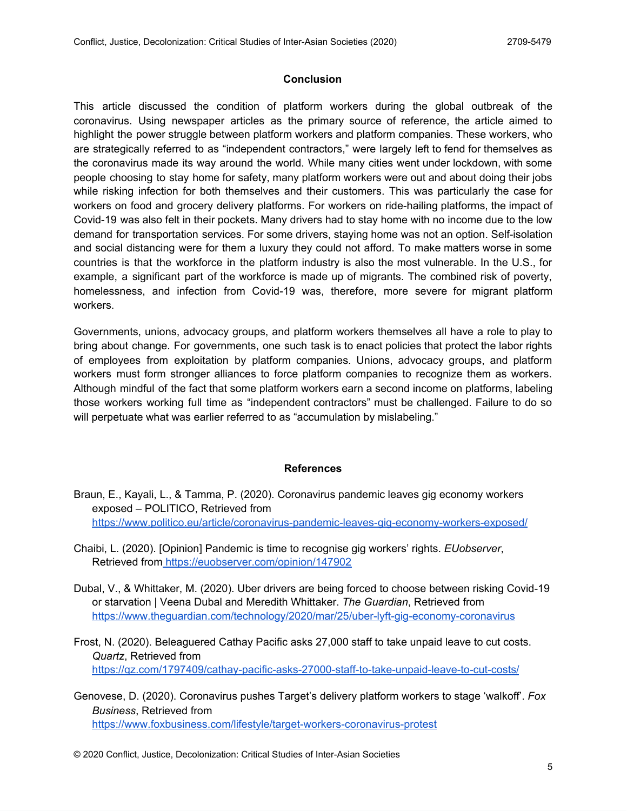## **Conclusion**

This article discussed the condition of platform workers during the global outbreak of the coronavirus. Using newspaper articles as the primary source of reference, the article aimed to highlight the power struggle between platform workers and platform companies. These workers, who are strategically referred to as "independent contractors," were largely left to fend for themselves as the coronavirus made its way around the world. While many cities went under lockdown, with some people choosing to stay home for safety, many platform workers were out and about doing their jobs while risking infection for both themselves and their customers. This was particularly the case for workers on food and grocery delivery platforms. For workers on ride-hailing platforms, the impact of Covid-19 was also felt in their pockets. Many drivers had to stay home with no income due to the low demand for transportation services. For some drivers, staying home was not an option. Self-isolation and social distancing were for them a luxury they could not afford. To make matters worse in some countries is that the workforce in the platform industry is also the most vulnerable. In the U.S., for example, a significant part of the workforce is made up of migrants. The combined risk of poverty, homelessness, and infection from Covid-19 was, therefore, more severe for migrant platform workers.

Governments, unions, advocacy groups, and platform workers themselves all have a role to play to bring about change. For governments, one such task is to enact policies that protect the labor rights of employees from exploitation by platform companies. Unions, advocacy groups, and platform workers must form stronger alliances to force platform companies to recognize them as workers. Although mindful of the fact that some platform workers earn a second income on platforms, labeling those workers working full time as "independent contractors" must be challenged. Failure to do so will perpetuate what was earlier referred to as "accumulation by mislabeling."

## **References**

- Braun, E., Kayali, L., & Tamma, P. (2020). Coronavirus pandemic leaves gig economy workers exposed – POLITICO, Retrieved from <https://www.politico.eu/article/coronavirus-pandemic-leaves-gig-economy-workers-exposed/>
- Chaibi, L. (2020). [Opinion] Pandemic is time to recognise gig workers' rights. *EUobserver*, Retrieved from<https://euobserver.com/opinion/147902>
- Dubal, V., & Whittaker, M. (2020). Uber drivers are being forced to choose between risking Covid-19 or starvation | Veena Dubal and Meredith Whittaker. *The Guardian*, Retrieved fro[m](https://www.theguardian.com/technology/2020/mar/25/uber-lyft-gig-economy-coronavirus) <https://www.theguardian.com/technology/2020/mar/25/uber-lyft-gig-economy-coronavirus>
- Frost, N. (2020). Beleaguered Cathay Pacific asks 27,000 staff to take unpaid leave to cut costs. *Quartz*, Retrieved fro[m](https://qz.com/1797409/cathay-pacific-asks-27000-staff-to-take-unpaid-leave-to-cut-costs/) <https://qz.com/1797409/cathay-pacific-asks-27000-staff-to-take-unpaid-leave-to-cut-costs/>
- Genovese, D. (2020). Coronavirus pushes Target's delivery platform workers to stage 'walkoff'. *Fox Business*, Retrieved fro[m](https://www.foxbusiness.com/lifestyle/target-workers-coronavirus-protest) <https://www.foxbusiness.com/lifestyle/target-workers-coronavirus-protest>